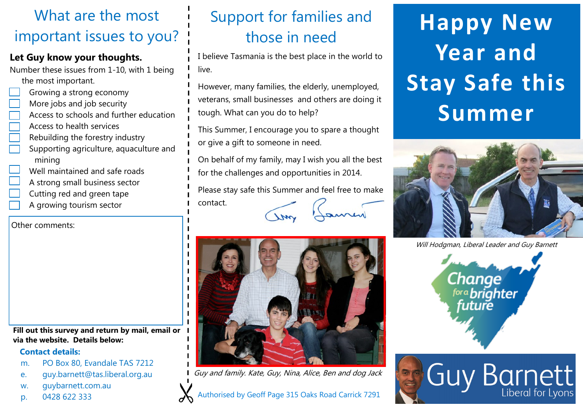# What are the most important issues to you?

## **Let Guy know your thoughts.**

Number these issues from 1-10, with 1 being the most important.

- Growing a strong economy
- More jobs and job security
- Access to schools and further education
- Access to health services
- Rebuilding the forestry industry
- Supporting agriculture, aquaculture and mining
- Well maintained and safe roads
- A strong small business sector
- Cutting red and green tape
- A growing tourism sector

Other comments:

**Fill out this survey and return by mail, email or via the website. Details below:**

#### **Contact details:**

- m. PO Box 80, Evandale TAS 7212
- e. guy.barnett@tas.liberal.org.au
- w. guybarnett.com.au
- p. 0428 622 333

# Support for families and those in need

I believe Tasmania is the best place in the world to live.

However, many families, the elderly, unemployed, veterans, small businesses and others are doing it tough. What can you do to help?

This Summer, I encourage you to spare a thought or give a gift to someone in need.

On behalf of my family, may I wish you all the best for the challenges and opportunities in 2014.

Please stay safe this Summer and feel free to make

contact.



Guy and family. Kate, Guy, Nina, Alice, Ben and dog Jack

# **Happy New Year and Stay Safe this Summer**



Will Hodgman, Liberal Leader and Guy Barnett



**Guy Barnett**